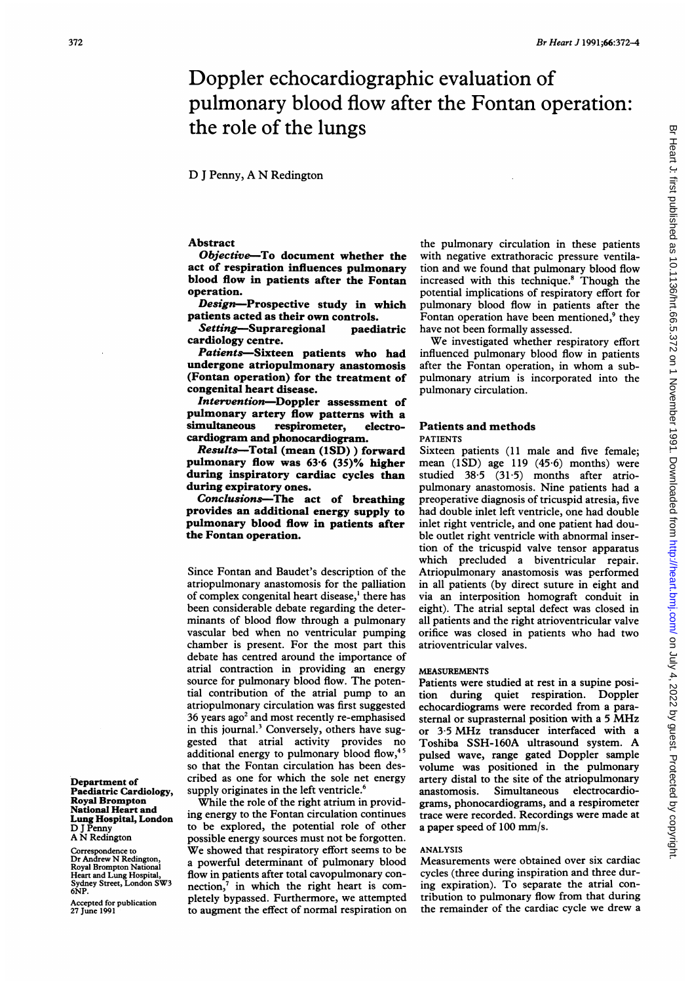# Doppler echocardiographic evaluation of pulmonary blood flow after the Fontan operation: the role of the lungs

# D <sup>J</sup> Penny, A N Redington

# Abstract

Objective-To document whether the act of respiration influences pulmonary blood flow in patients after the Fontan operation.

Design-Prospective study in which patients acted as their own controls.

Setting-Supraregional paediatric cardiology centre.

Patients-Sixteen patients who had undergone atriopulmonary anastomosis (Fontan operation) for the treatment of congenital heart disease.

Intervention-Doppler assessment of pulmonary artery flow patterns with a simultaneous respirometer, electrocardiogram and phonocardiogram.

Results-Total (mean (1SD)) forward pulmonary flow was 63-6 (35)% higher during inspiratory cardiac cycles than during expiratory ones.

Conclusions-The act of breathing provides an additional energy supply to pulmonary blood flow in patients after the Fontan operation.

Since Fontan and Baudet's description of the atriopulmonary anastomosis for the palliation of complex congenital heart disease,' there has been considerable debate regarding the determinants of blood flow through a pulmonary vascular bed when no ventricular pumping chamber is present. For the most part this debate has centred around the importance of atrial contraction in providing an energy source for pulmonary blood flow. The potential contribution of the atrial pump to an atriopulmonary circulation was first suggested 36 years ago<sup>2</sup> and most recently re-emphasised in this journal.<sup>3</sup> Conversely, others have suggested that atrial activity provides no additional energy to pulmonary blood flow,<sup>45</sup> so that the Fontan circulation has been described as one for which the sole net energy supply originates in the left ventricle.<sup>6</sup>

While the role of the right atrium in providing energy to the Fontan circulation continues to be explored, the potential role of other possible energy sources must not be forgotten. We showed that respiratory effort seems to be a powerful determinant of pulmonary blood flow in patients after total cavopulmonary connection,<sup>7</sup> in which the right heart is completely bypassed. Furthermore, we attempted to augment the effect of normal respiration on

the pulmonary circulation in these patients with negative extrathoracic pressure ventilation and we found that pulmonary blood flow increased with this technique.8 Though the potential implications of respiratory effort for pulmonary blood flow in patients after the Fontan operation have been mentioned,<sup>9</sup> they have not been formally assessed.

We investigated whether respiratory effort influenced pulmonary blood flow in patients after the Fontan operation, in whom <sup>a</sup> subpulmonary atrium is incorporated into the pulmonary circulation.

# Patients and methods PATIENTS

Sixteen patients (11 male and five female; mean (lSD) age 119 (45 6) months) were studied 38-5 (31-5) months after atriopulmonary anastomosis. Nine patients had a preoperative diagnosis of tricuspid atresia, five had double inlet left ventricle, one had double inlet right ventricle, and one patient had double outlet right ventricle with abnormal insertion of the tricuspid valve tensor apparatus which precluded a biventricular repair. Atriopulmonary anastomosis was performed in all patients (by direct suture in eight and via an interposition homograft conduit in eight). The atrial septal defect was closed in all patients and the right atrioventricular valve orifice was closed in patients who had two atrioventricular valves.

# MEASUREMENTS

Patients were studied at rest in a supine position during quiet respiration. Doppler echocardiograms were recorded from a parasternal or suprasternal position with <sup>a</sup> <sup>5</sup> MHz or 3-5 MHz transducer interfaced with <sup>a</sup> Toshiba SSH-160A ultrasound system. A pulsed wave, range gated Doppler sample volume was positioned in the pulmonary artery distal to the site of the atriopulmonary<br>anastomosis. Simultaneous electrocardio-Simultaneous grams, phonocardiograms, and a respirometer trace were recorded. Recordings were made at a paper speed of 100 mm/s.

### ANALYSIS

Measurements were obtained over six cardiac cycles (three during inspiration and three during expiration). To separate the atrial contribution to pulmonary flow from that during the remainder of the cardiac cycle we drew a

Department of Paediatric Cardiology, Royal Brompton National Heart and Lung Hospital, London D <sup>J</sup> Penny A N Redington

Correspondence to Dr Andrew N Redington, Royal Brompton National Heart and Lung Hospital, Sydney Street, London SW3 6NP.

Accepted for publication 27 June 1991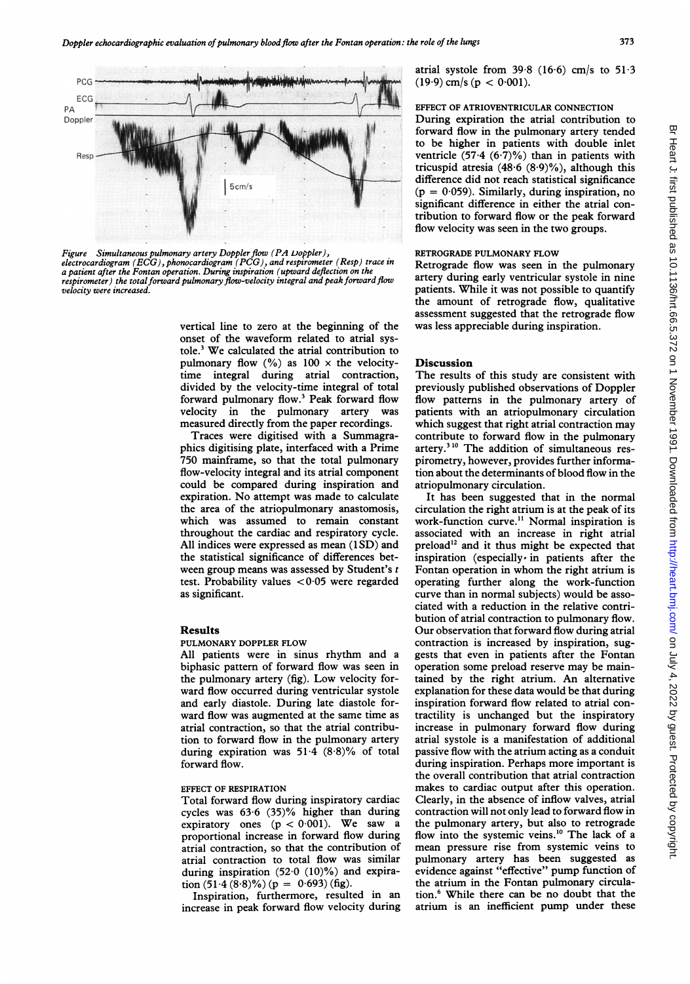

Figure Simultaneous pulmonary artery Doppler flow (PA Doppler), electrocardiogram (ECG), phonocardiogram (PCG), and respirometer (Resp) trace in a patient after the Fontan operation. During inspiration (upward deflection on the respirometer) the total forward pulmonary flow-velocity integral and peak forward flow velocity were increased.

vertical line to zero at the beginning of the onset of the waveform related to atrial systole.3 We calculated the atrial contribution to pulmonary flow  $(\%)$  as  $100 \times$  the velocitytime integral during atrial contraction, divided by the velocity-time integral of total forward pulmonary flow.3 Peak forward flow velocity in the pulmonary artery was measured directly from the paper recordings.

Traces were digitised with a Summagraphics digitising plate, interfaced with a Prime 750 mainframe, so that the total pulmonary flow-velocity integral and its atrial component could be compared during inspiration and expiration. No attempt was made to calculate the area of the atriopulmonary anastomosis, which was assumed to remain constant throughout the cardiac and respiratory cycle. All indices were expressed as mean (1SD) and the statistical significance of differences between group means was assessed by Student's t test. Probability values  $< 0.05$  were regarded as significant.

# Results

### PULMONARY DOPPLER FLOW

All patients were in sinus rhythm and a biphasic pattern of forward flow was seen in the pulmonary artery (fig). Low velocity forward flow occurred during ventricular systole and early diastole. During late diastole forward flow was augmented at the same time as atrial contraction, so that the atrial contribution to forward flow in the pulmonary artery during expiration was 51-4 (8-8)% of total forward flow.

## EFFECT OF RESPIRATION

Total forward flow during inspiratory cardiac cycles was 63-6 (35)% higher than during expiratory ones  $(p < 0.001)$ . We saw a proportional increase in forward flow during atrial contraction, so that the contribution of atrial contraction to total flow was similar during inspiration  $(52.0 (10)\%)$  and expiration  $(51.4 (8.8)\%) (p = 0.693)$  (fig).

Inspiration, furthermore, resulted in an increase in peak forward flow velocity during atrial systole from  $39.8$  (16.6) cm/s to  $51.3$  $(19.9)$  cm/s (p < 0.001).

# EFFECT OF ATRIOVENTRICULAR CONNECTION

During expiration the atrial contribution to forward flow in the pulmonary artery tended to be higher in patients with double inlet ventricle (57.4  $(6.7)$ %) than in patients with tricuspid atresia  $(48.6 (8.9)\%)$ , although this difference did not reach statistical significance  $(p = 0.059)$ . Similarly, during inspiration, no significant difference in either the atrial contribution to forward flow or the peak forward flow velocity was seen in the two groups.

### RETROGRADE PULMONARY FLOW

Retrograde flow was seen in the pulmonary artery during early ventricular systole in nine patients. While it was not possible to quantify the amount of retrograde flow, qualitative assessment suggested that the retrograde flow was less appreciable during inspiration.

#### Discussion

The results of this study are consistent with previously published observations of Doppler flow patterns in the pulmonary artery of patients with an atriopulmonary circulation which suggest that right atrial contraction may contribute to forward flow in the pulmonary artery.310 The addition of simultaneous respirometry, however, provides further information about the determinants of blood flow in the atriopulmonary circulation.

It has been suggested that in the normal circulation the right atrium is at the peak of its work-function curve.<sup>11</sup> Normal inspiration is associated with an increase in right atrial preload<sup>12</sup> and it thus might be expected that inspiration (especially in patients after the Fontan operation in whom the right atrium is operating further along the work-function curve than in normal subjects) would be associated with a reduction in the relative contribution of atrial contraction to pulmonary flow. Our observation that forward flow during atrial contraction is increased by inspiration, suggests that even in patients after the Fontan operation some preload reserve may be maintained by the right atrium. An alternative explanation for these data would be that during inspiration forward flow related to atrial contractility is unchanged but the inspiratory increase in pulmonary forward flow during atrial systole is a manifestation of additional passive flow with the atrium acting as a conduit during inspiration. Perhaps more important is the overall contribution that atrial contraction makes to cardiac output after this operation. Clearly, in the absence of inflow valves, atrial contraction will not only lead to forward flow in the pulmonary artery, but also to retrograde flow into the systemic veins.<sup>10</sup> The lack of a mean pressure rise from systemic veins to pulmonary artery has been suggested as evidence against "effective" pump function of the atrium in the Fontan pulmonary circulation.' While there can be no doubt that the atrium is an inefficient pump under these